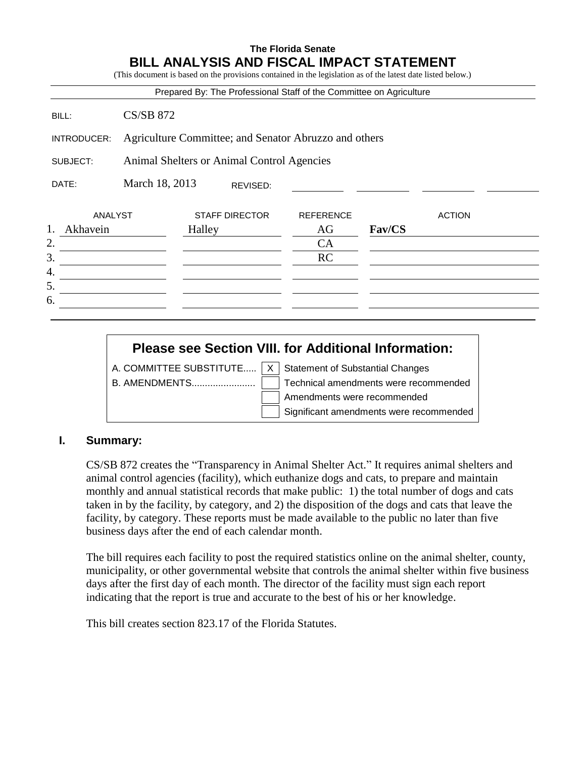# **The Florida Senate BILL ANALYSIS AND FISCAL IMPACT STATEMENT**

(This document is based on the provisions contained in the legislation as of the latest date listed below.)

|                |                                                       |        |                       | Prepared By: The Professional Staff of the Committee on Agriculture |        |               |
|----------------|-------------------------------------------------------|--------|-----------------------|---------------------------------------------------------------------|--------|---------------|
| BILL:          | <b>CS/SB 872</b>                                      |        |                       |                                                                     |        |               |
| INTRODUCER:    | Agriculture Committee; and Senator Abruzzo and others |        |                       |                                                                     |        |               |
| SUBJECT:       | Animal Shelters or Animal Control Agencies            |        |                       |                                                                     |        |               |
| DATE:          | March 18, 2013                                        |        | REVISED:              |                                                                     |        |               |
| ANALYST        |                                                       |        | <b>STAFF DIRECTOR</b> | <b>REFERENCE</b>                                                    |        | <b>ACTION</b> |
| 1.<br>Akhavein |                                                       | Halley |                       | AG                                                                  | Fav/CS |               |
| 2.             |                                                       |        |                       | CA                                                                  |        |               |
| 3.             |                                                       |        |                       | <b>RC</b>                                                           |        |               |
| 4.             |                                                       |        |                       |                                                                     |        |               |
| 5.             |                                                       |        |                       |                                                                     |        |               |
| 6.             |                                                       |        |                       |                                                                     |        |               |

# **Please see Section VIII. for Additional Information:**

A. COMMITTEE SUBSTITUTE.....  $X \mid$  Statement of Substantial Changes

B. AMENDMENTS........................ Technical amendments were recommended Amendments were recommended Significant amendments were recommended

## **I. Summary:**

CS/SB 872 creates the "Transparency in Animal Shelter Act." It requires animal shelters and animal control agencies (facility), which euthanize dogs and cats, to prepare and maintain monthly and annual statistical records that make public: 1) the total number of dogs and cats taken in by the facility, by category, and 2) the disposition of the dogs and cats that leave the facility, by category. These reports must be made available to the public no later than five business days after the end of each calendar month.

The bill requires each facility to post the required statistics online on the animal shelter, county, municipality, or other governmental website that controls the animal shelter within five business days after the first day of each month. The director of the facility must sign each report indicating that the report is true and accurate to the best of his or her knowledge.

This bill creates section 823.17 of the Florida Statutes.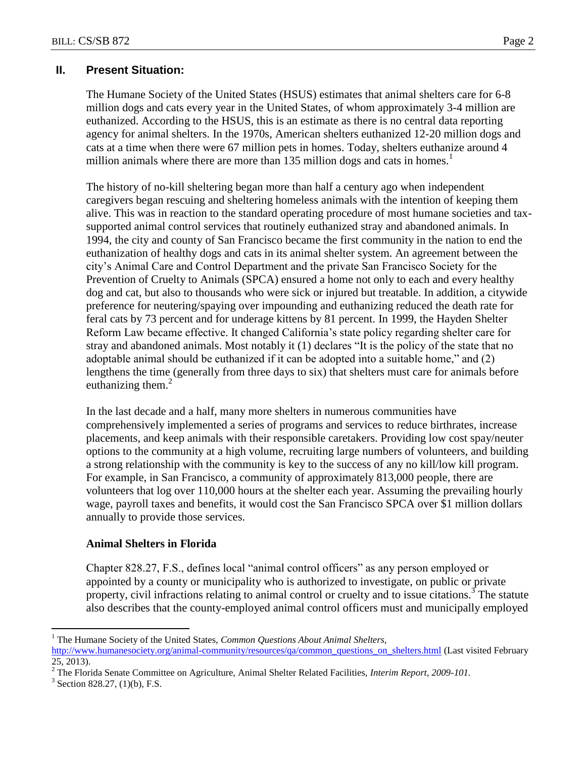# **II. Present Situation:**

The Humane Society of the United States (HSUS) estimates that animal shelters care for 6-8 million dogs and cats every year in the United States, of whom approximately 3-4 million are euthanized. According to the HSUS, this is an estimate as there is no central data reporting agency for animal shelters. In the 1970s, American shelters euthanized 12-20 million dogs and cats at a time when there were 67 million pets in homes. Today, shelters euthanize around 4 million animals where there are more than 135 million dogs and cats in homes.<sup>1</sup>

The history of no-kill sheltering began more than half a century ago when independent caregivers began rescuing and sheltering homeless animals with the intention of keeping them alive. This was in reaction to the standard operating procedure of most humane societies and taxsupported animal control services that routinely euthanized stray and abandoned animals. In 1994, the city and county of San Francisco became the first community in the nation to end the euthanization of healthy dogs and cats in its animal shelter system. An agreement between the city's Animal Care and Control Department and the private San Francisco Society for the Prevention of Cruelty to Animals (SPCA) ensured a home not only to each and every healthy dog and cat, but also to thousands who were sick or injured but treatable. In addition, a citywide preference for neutering/spaying over impounding and euthanizing reduced the death rate for feral cats by 73 percent and for underage kittens by 81 percent. In 1999, the Hayden Shelter Reform Law became effective. It changed California's state policy regarding shelter care for stray and abandoned animals. Most notably it (1) declares "It is the policy of the state that no adoptable animal should be euthanized if it can be adopted into a suitable home," and (2) lengthens the time (generally from three days to six) that shelters must care for animals before euthanizing them. $2$ 

In the last decade and a half, many more shelters in numerous communities have comprehensively implemented a series of programs and services to reduce birthrates, increase placements, and keep animals with their responsible caretakers. Providing low cost spay/neuter options to the community at a high volume, recruiting large numbers of volunteers, and building a strong relationship with the community is key to the success of any no kill/low kill program. For example, in San Francisco, a community of approximately 813,000 people, there are volunteers that log over 110,000 hours at the shelter each year. Assuming the prevailing hourly wage, payroll taxes and benefits, it would cost the San Francisco SPCA over \$1 million dollars annually to provide those services.

## **Animal Shelters in Florida**

Chapter 828.27, F.S., defines local "animal control officers" as any person employed or appointed by a county or municipality who is authorized to investigate, on public or private property, civil infractions relating to animal control or cruelty and to issue citations.<sup>3</sup> The statute also describes that the county-employed animal control officers must and municipally employed

 $\overline{a}$ <sup>1</sup> The Humane Society of the United States, *Common Questions About Animal Shelters*,

[http://www.humanesociety.org/animal-community/resources/qa/common\\_questions\\_on\\_shelters.html](http://www.humanesociety.org/animal-community/resources/qa/common_questions_on_shelters.html) (Last visited February 25, 2013).

<sup>2</sup> The Florida Senate Committee on Agriculture, Animal Shelter Related Facilities, *Interim Report, 2009-101.*

 $3$  Section 828.27, (1)(b), F.S.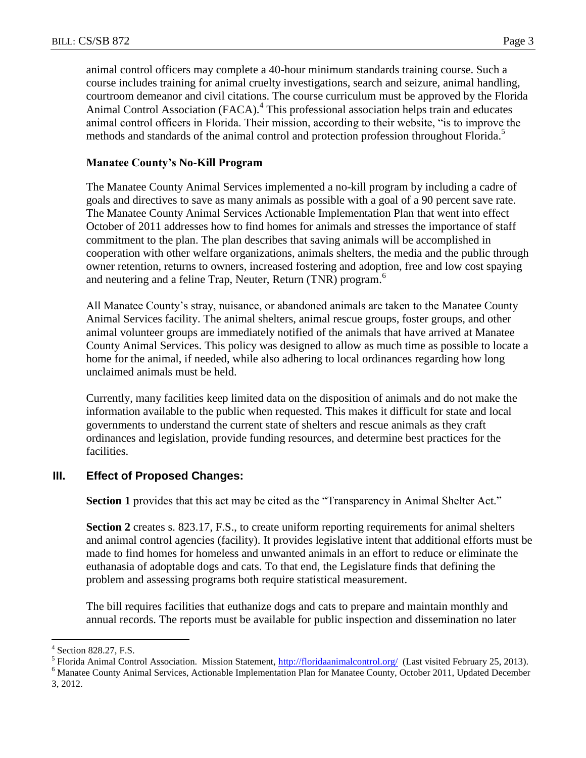animal control officers may complete a 40-hour minimum standards training course. Such a course includes training for animal cruelty investigations, search and seizure, animal handling, courtroom demeanor and civil citations. The course curriculum must be approved by the Florida Animal Control Association (FACA).<sup>4</sup> This professional association helps train and educates animal control officers in Florida. Their mission, according to their website, "is to improve the methods and standards of the animal control and protection profession throughout Florida. 5

# **Manatee County's No-Kill Program**

The Manatee County Animal Services implemented a no-kill program by including a cadre of goals and directives to save as many animals as possible with a goal of a 90 percent save rate. The Manatee County Animal Services Actionable Implementation Plan that went into effect October of 2011 addresses how to find homes for animals and stresses the importance of staff commitment to the plan. The plan describes that saving animals will be accomplished in cooperation with other welfare organizations, animals shelters, the media and the public through owner retention, returns to owners, increased fostering and adoption, free and low cost spaying and neutering and a feline Trap, Neuter, Return (TNR) program.<sup>6</sup>

All Manatee County's stray, nuisance, or abandoned animals are taken to the Manatee County Animal Services facility. The animal shelters, animal rescue groups, foster groups, and other animal volunteer groups are immediately notified of the animals that have arrived at Manatee County Animal Services. This policy was designed to allow as much time as possible to locate a home for the animal, if needed, while also adhering to local ordinances regarding how long unclaimed animals must be held.

Currently, many facilities keep limited data on the disposition of animals and do not make the information available to the public when requested. This makes it difficult for state and local governments to understand the current state of shelters and rescue animals as they craft ordinances and legislation, provide funding resources, and determine best practices for the facilities.

# **III. Effect of Proposed Changes:**

**Section 1** provides that this act may be cited as the "Transparency in Animal Shelter Act."

**Section 2** creates s. 823.17, F.S., to create uniform reporting requirements for animal shelters and animal control agencies (facility). It provides legislative intent that additional efforts must be made to find homes for homeless and unwanted animals in an effort to reduce or eliminate the euthanasia of adoptable dogs and cats. To that end, the Legislature finds that defining the problem and assessing programs both require statistical measurement.

The bill requires facilities that euthanize dogs and cats to prepare and maintain monthly and annual records. The reports must be available for public inspection and dissemination no later

 $\overline{a}$ 

<sup>4</sup> Section 828.27, F.S.

<sup>&</sup>lt;sup>5</sup> Florida Animal Control Association. Mission Statement, *http://floridaanimalcontrol.org/* (Last visited February 25, 2013).

<sup>6</sup> Manatee County Animal Services, Actionable Implementation Plan for Manatee County, October 2011, Updated December 3, 2012.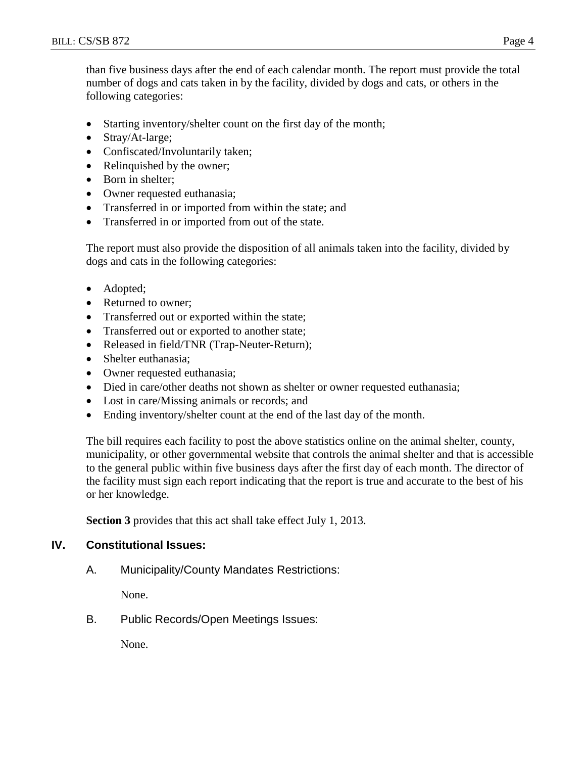than five business days after the end of each calendar month. The report must provide the total number of dogs and cats taken in by the facility, divided by dogs and cats, or others in the following categories:

- Starting inventory/shelter count on the first day of the month;
- Stray/At-large;
- Confiscated/Involuntarily taken;
- Relinquished by the owner;
- Born in shelter;
- Owner requested euthanasia;
- Transferred in or imported from within the state; and
- Transferred in or imported from out of the state.

The report must also provide the disposition of all animals taken into the facility, divided by dogs and cats in the following categories:

- Adopted;
- Returned to owner:
- Transferred out or exported within the state;
- Transferred out or exported to another state;
- Released in field/TNR (Trap-Neuter-Return);
- Shelter euthanasia:
- Owner requested euthanasia;
- Died in care/other deaths not shown as shelter or owner requested euthanasia;
- Lost in care/Missing animals or records; and
- Ending inventory/shelter count at the end of the last day of the month.

The bill requires each facility to post the above statistics online on the animal shelter, county, municipality, or other governmental website that controls the animal shelter and that is accessible to the general public within five business days after the first day of each month. The director of the facility must sign each report indicating that the report is true and accurate to the best of his or her knowledge.

**Section 3** provides that this act shall take effect July 1, 2013.

# **IV. Constitutional Issues:**

A. Municipality/County Mandates Restrictions:

None.

B. Public Records/Open Meetings Issues:

None.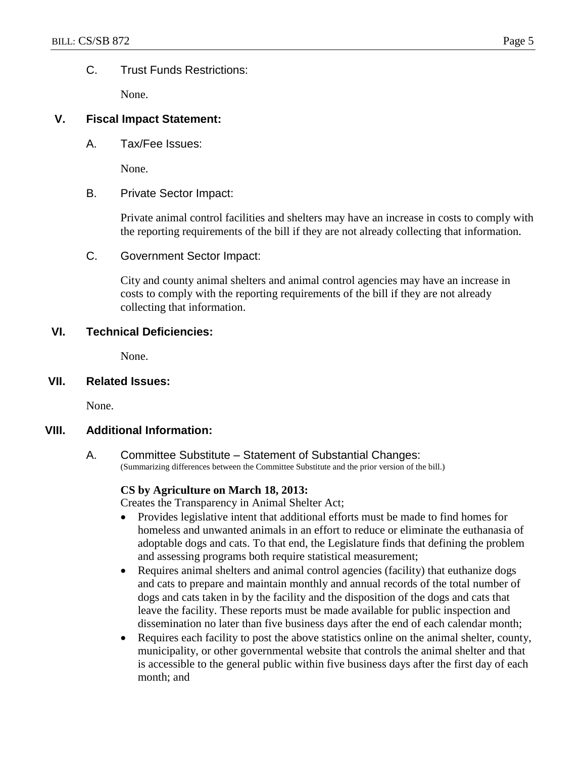### C. Trust Funds Restrictions:

None.

### **V. Fiscal Impact Statement:**

A. Tax/Fee Issues:

None.

B. Private Sector Impact:

Private animal control facilities and shelters may have an increase in costs to comply with the reporting requirements of the bill if they are not already collecting that information.

C. Government Sector Impact:

City and county animal shelters and animal control agencies may have an increase in costs to comply with the reporting requirements of the bill if they are not already collecting that information.

### **VI. Technical Deficiencies:**

None.

**VII. Related Issues:**

None.

### **VIII. Additional Information:**

A. Committee Substitute – Statement of Substantial Changes: (Summarizing differences between the Committee Substitute and the prior version of the bill.)

### **CS by Agriculture on March 18, 2013:**

Creates the Transparency in Animal Shelter Act;

- Provides legislative intent that additional efforts must be made to find homes for homeless and unwanted animals in an effort to reduce or eliminate the euthanasia of adoptable dogs and cats. To that end, the Legislature finds that defining the problem and assessing programs both require statistical measurement;
- Requires animal shelters and animal control agencies (facility) that euthanize dogs and cats to prepare and maintain monthly and annual records of the total number of dogs and cats taken in by the facility and the disposition of the dogs and cats that leave the facility. These reports must be made available for public inspection and dissemination no later than five business days after the end of each calendar month;
- Requires each facility to post the above statistics online on the animal shelter, county, municipality, or other governmental website that controls the animal shelter and that is accessible to the general public within five business days after the first day of each month; and